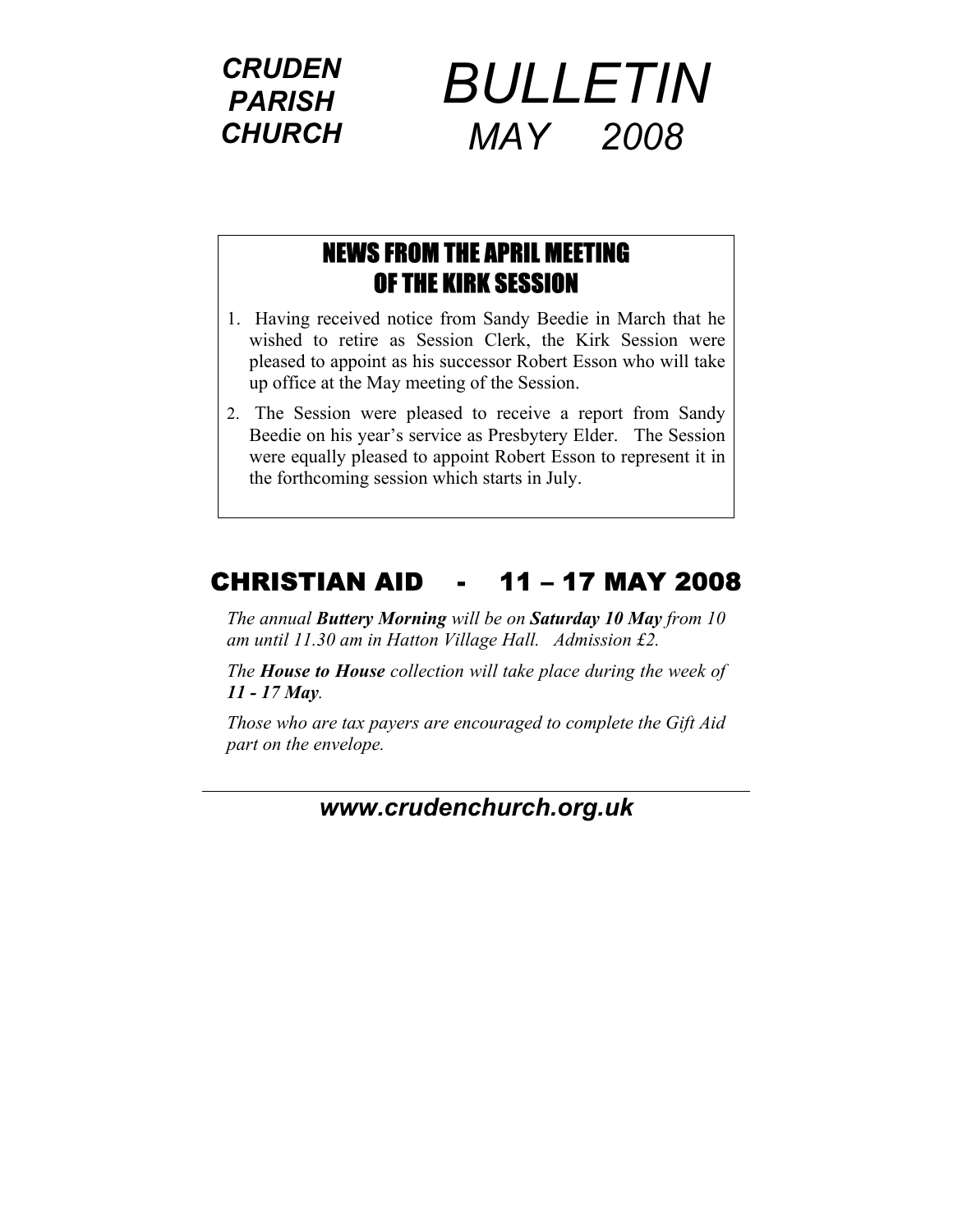*CRUDEN PARISH CHURCH*



#### NEWS FROM THE APRIL MEETING OF THE KIRK SESSION

- 1. Having received notice from Sandy Beedie in March that he wished to retire as Session Clerk, the Kirk Session were pleased to appoint as his successor Robert Esson who will take up office at the May meeting of the Session.
- 2. The Session were pleased to receive a report from Sandy Beedie on his year's service as Presbytery Elder. The Session were equally pleased to appoint Robert Esson to represent it in the forthcoming session which starts in July.

### CHRISTIAN AID - 11 – 17 MAY 2008

*The annual Buttery Morning will be on Saturday 10 May from 10 am until 11.30 am in Hatton Village Hall. Admission £2.* 

*The House to House collection will take place during the week of 11 - 17 May.* 

*Those who are tax payers are encouraged to complete the Gift Aid part on the envelope.* 

*[www.cruden](http://www.cruden/)church.org.uk*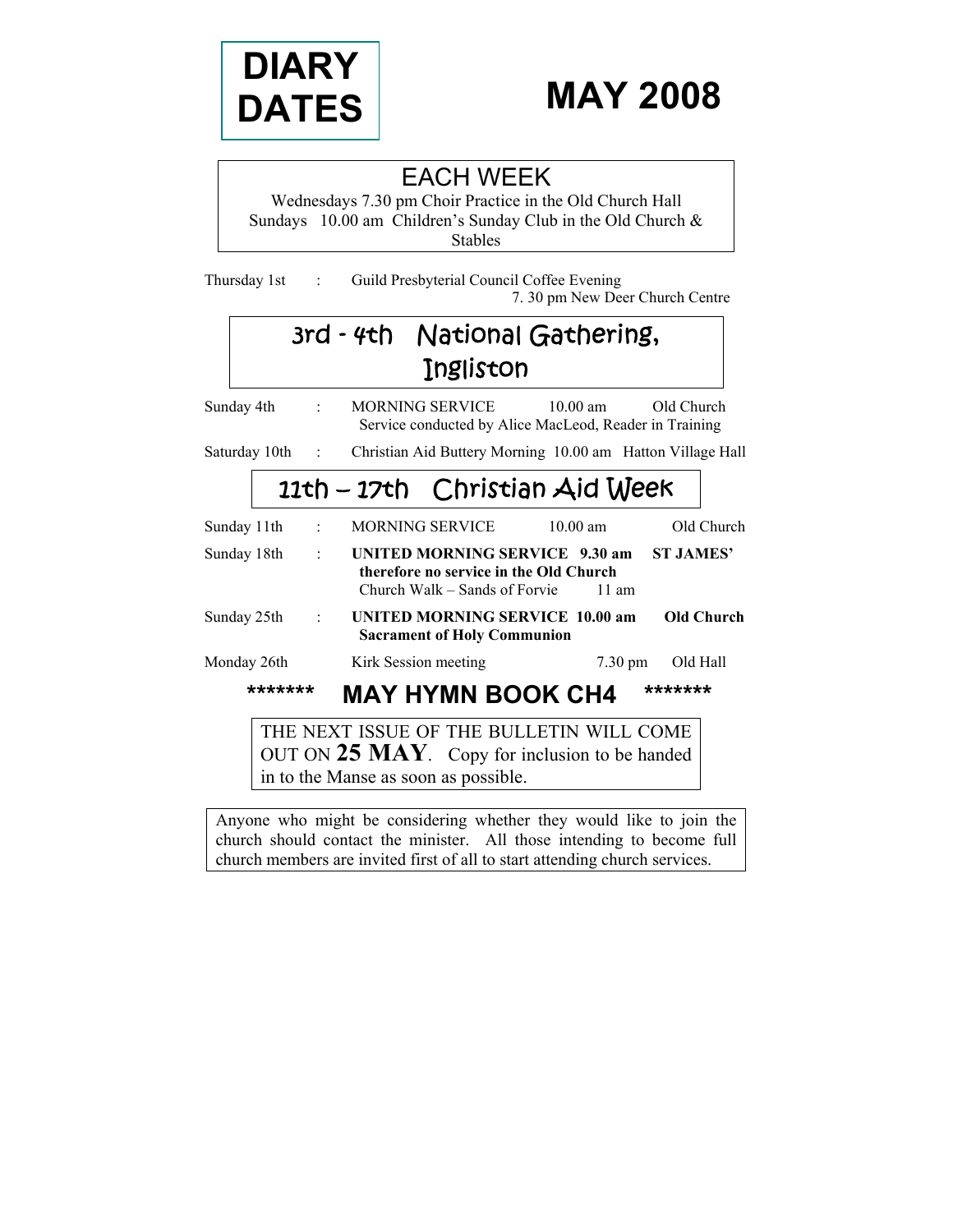

# **MAY 2008**

### EACH WEEK

Wednesdays 7.30 pm Choir Practice in the Old Church Hall Sundays 10.00 am Children's Sunday Club in the Old Church & Stables

Thursday 1st : Guild Presbyterial Council Coffee Evening 7. 30 pm New Deer Church Centre

## 3rd - 4th National Gathering, Ingliston

Sunday 4th : MORNING SERVICE 10.00 am Old Church Service conducted by Alice MacLeod, Reader in Training

Saturday 10th : Christian Aid Buttery Morning 10.00 am Hatton Village Hall

## 11th – 17th Christian Aid Week

| Sunday 11th |         |                | MORNING SERVICE                                                                                           |  | $10.00$ am        |                  | Old Church |
|-------------|---------|----------------|-----------------------------------------------------------------------------------------------------------|--|-------------------|------------------|------------|
| Sunday 18th |         | $\cdot$        | UNITED MORNING SERVICE 9.30 am<br>therefore no service in the Old Church<br>Church Walk – Sands of Forvie |  | $11 \text{ am}$   | <b>ST JAMES'</b> |            |
| Sunday 25th |         | $\mathbb{R}^2$ | <b>UNITED MORNING SERVICE 10.00 am</b><br><b>Sacrament of Holy Communion</b>                              |  |                   |                  | Old Church |
| Monday 26th |         |                | Kirk Session meeting                                                                                      |  | $7.30 \text{ pm}$ | Old Hall         |            |
|             | ******* |                | <b>MAY HYMN BOOK CH4</b>                                                                                  |  |                   | *******          |            |
|             |         |                | THE NEXT ISSUE OF THE BULLETIN WILL COME<br>OUT ON $25$ MAY. Copy for inclusion to be handed              |  |                   |                  |            |

in to the Manse as soon as possible.

Anyone who might be considering whether they would like to join the church should contact the minister. All those intending to become full church members are invited first of all to start attending church services.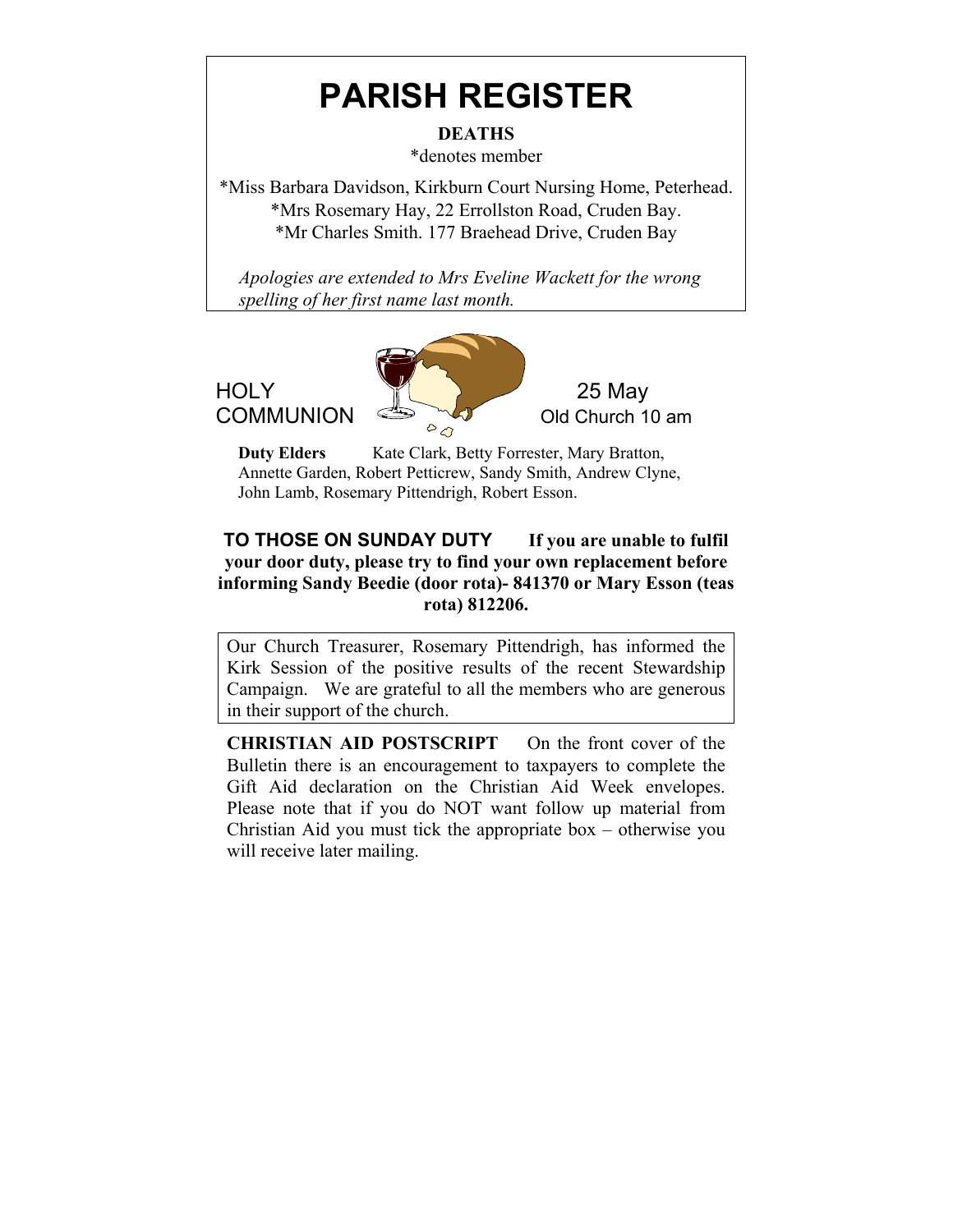# **PARISH REGISTER**

**DEATHS** 

\*denotes member

\*Miss Barbara Davidson, Kirkburn Court Nursing Home, Peterhead. \*Mrs Rosemary Hay, 22 Errollston Road, Cruden Bay. \*Mr Charles Smith. 177 Braehead Drive, Cruden Bay

 *Apologies are extended to Mrs Eveline Wackett for the wrong spelling of her first name last month.* 

HOLY **10 125 May** 

**COMMUNION**  $\sum_{\alpha}$  old Church 10 am

**Duty Elders** Kate Clark, Betty Forrester, Mary Bratton, Annette Garden, Robert Petticrew, Sandy Smith, Andrew Clyne, John Lamb, Rosemary Pittendrigh, Robert Esson.

#### **TO THOSE ON SUNDAY DUTY If you are unable to fulfil your door duty, please try to find your own replacement before informing Sandy Beedie (door rota)- 841370 or Mary Esson (teas rota) 812206.**

Our Church Treasurer, Rosemary Pittendrigh, has informed the Kirk Session of the positive results of the recent Stewardship Campaign. We are grateful to all the members who are generous in their support of the church.

**CHRISTIAN AID POSTSCRIPT** On the front cover of the Bulletin there is an encouragement to taxpayers to complete the Gift Aid declaration on the Christian Aid Week envelopes. Please note that if you do NOT want follow up material from Christian Aid you must tick the appropriate box – otherwise you will receive later mailing.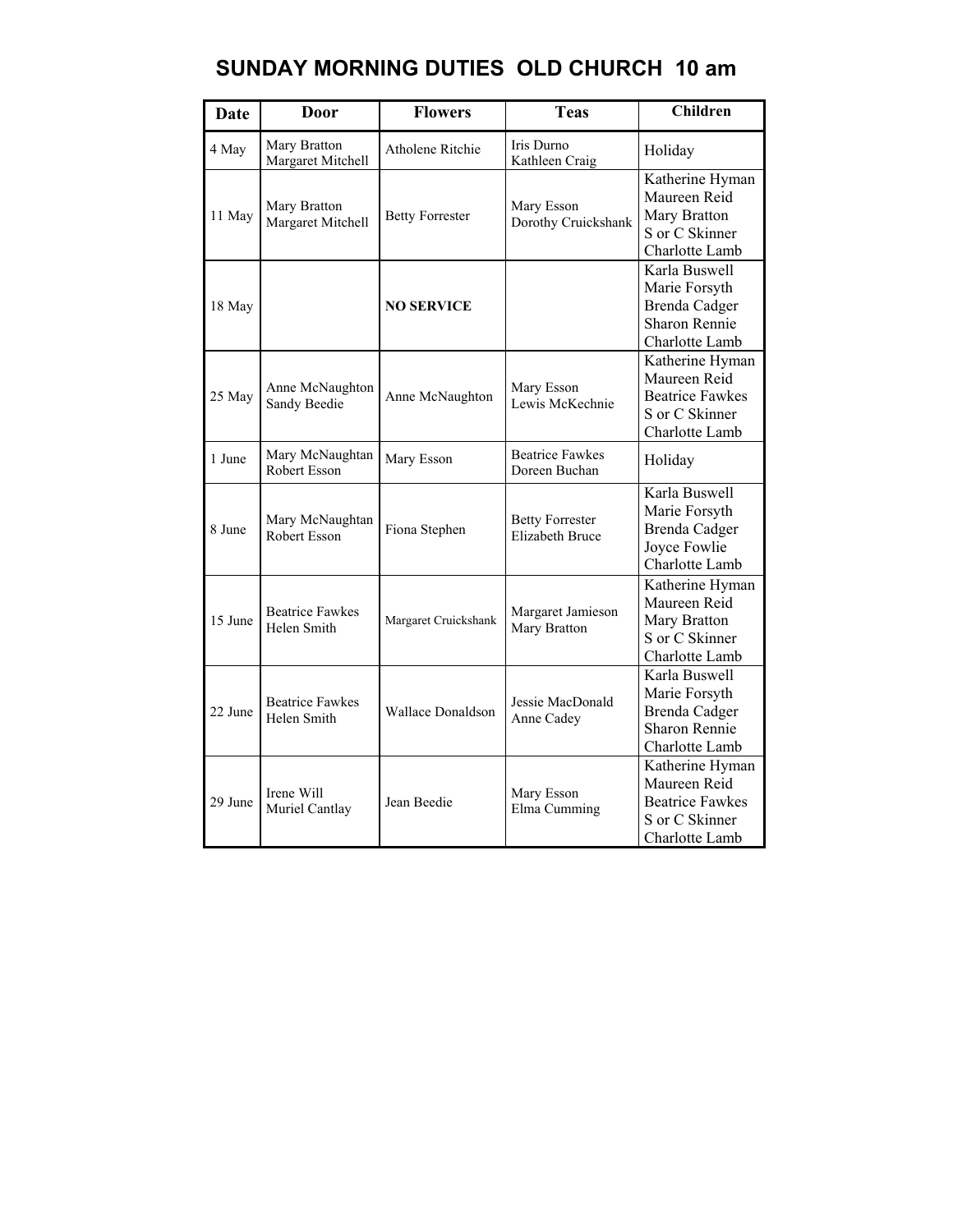### **SUNDAY MORNING DUTIES OLD CHURCH 10 am**

| <b>Date</b> | Door                                  | <b>Flowers</b>           | <b>Teas</b>                                      | <b>Children</b>                                                                               |
|-------------|---------------------------------------|--------------------------|--------------------------------------------------|-----------------------------------------------------------------------------------------------|
| 4 May       | Mary Bratton<br>Margaret Mitchell     | Atholene Ritchie         | Iris Durno<br>Kathleen Craig                     | Holiday                                                                                       |
| 11 May      | Mary Bratton<br>Margaret Mitchell     | <b>Betty Forrester</b>   | Mary Esson<br>Dorothy Cruickshank                | Katherine Hyman<br>Maureen Reid<br>Mary Bratton<br>S or C Skinner<br>Charlotte Lamb           |
| 18 May      |                                       | <b>NO SERVICE</b>        |                                                  | Karla Buswell<br>Marie Forsyth<br>Brenda Cadger<br>Sharon Rennie<br>Charlotte Lamb            |
| 25 May      | Anne McNaughton<br>Sandy Beedie       | Anne McNaughton          | Mary Esson<br>Lewis McKechnie                    | Katherine Hyman<br>Maureen Reid<br><b>Beatrice Fawkes</b><br>S or C Skinner<br>Charlotte Lamb |
| 1 June      | Mary McNaughtan<br>Robert Esson       | Mary Esson               | <b>Beatrice Fawkes</b><br>Doreen Buchan          | Holiday                                                                                       |
| 8 June      | Mary McNaughtan<br>Robert Esson       | Fiona Stephen            | <b>Betty Forrester</b><br><b>Elizabeth Bruce</b> | Karla Buswell<br>Marie Forsyth<br>Brenda Cadger<br>Joyce Fowlie<br>Charlotte Lamb             |
| 15 June     | <b>Beatrice Fawkes</b><br>Helen Smith | Margaret Cruickshank     | Margaret Jamieson<br>Mary Bratton                | Katherine Hyman<br>Maureen Reid<br>Mary Bratton<br>S or C Skinner<br>Charlotte Lamb           |
| 22 June     | <b>Beatrice Fawkes</b><br>Helen Smith | <b>Wallace Donaldson</b> | Jessie MacDonald<br>Anne Cadey                   | Karla Buswell<br>Marie Forsyth<br>Brenda Cadger<br>Sharon Rennie<br>Charlotte Lamb            |
| 29 June     | Irene Will<br>Muriel Cantlay          | Jean Beedie              | Mary Esson<br>Elma Cumming                       | Katherine Hyman<br>Maureen Reid<br><b>Beatrice Fawkes</b><br>S or C Skinner<br>Charlotte Lamb |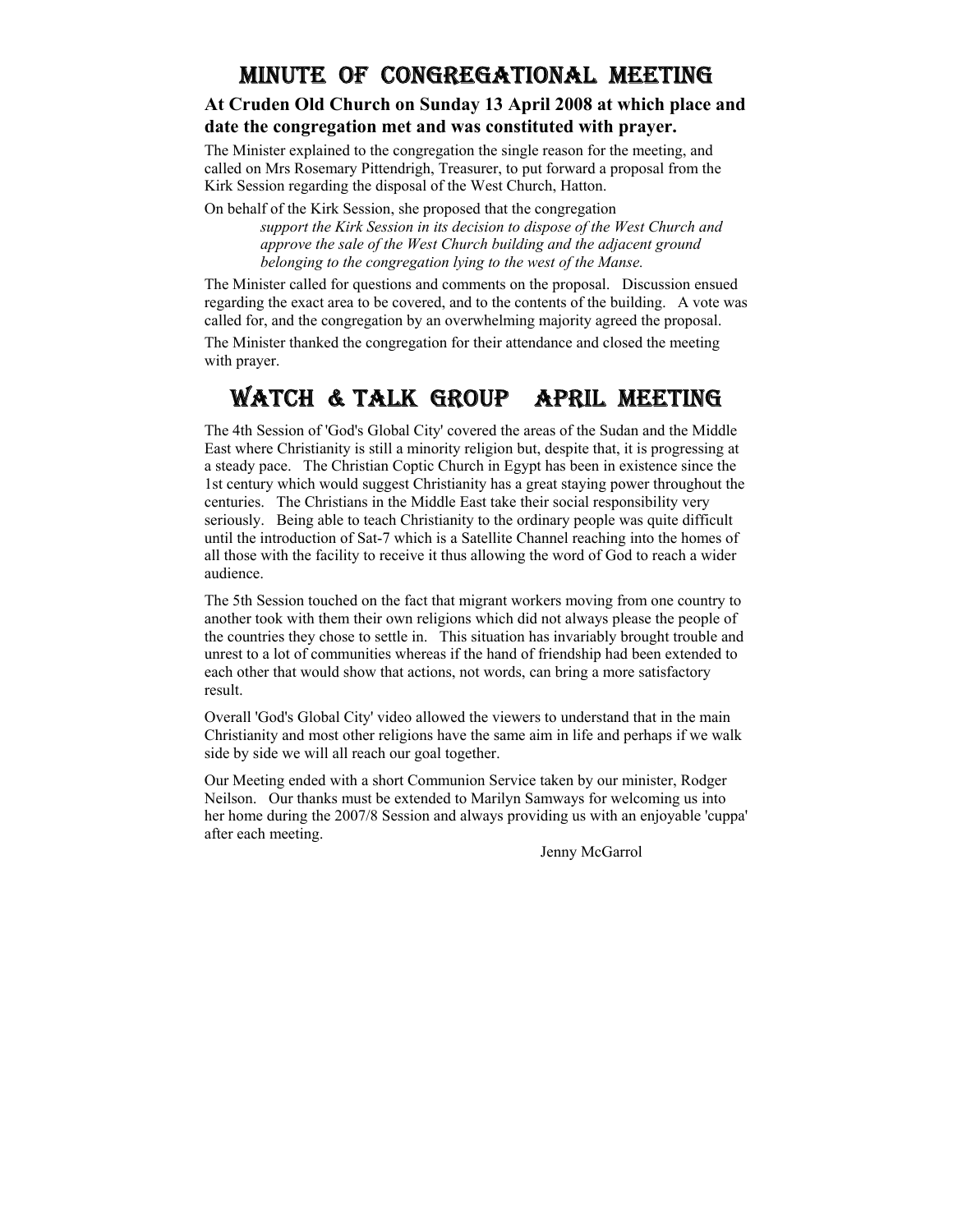#### MINUTE OF CONGREGATIONAL MEETING

#### **At Cruden Old Church on Sunday 13 April 2008 at which place and date the congregation met and was constituted with prayer.**

The Minister explained to the congregation the single reason for the meeting, and called on Mrs Rosemary Pittendrigh, Treasurer, to put forward a proposal from the Kirk Session regarding the disposal of the West Church, Hatton.

On behalf of the Kirk Session, she proposed that the congregation *support the Kirk Session in its decision to dispose of the West Church and approve the sale of the West Church building and the adjacent ground belonging to the congregation lying to the west of the Manse.* 

The Minister called for questions and comments on the proposal. Discussion ensued regarding the exact area to be covered, and to the contents of the building. A vote was called for, and the congregation by an overwhelming majority agreed the proposal.

The Minister thanked the congregation for their attendance and closed the meeting with prayer.

#### WATCH & TALK GROUP APRIL MEETING

The 4th Session of 'God's Global City' covered the areas of the Sudan and the Middle East where Christianity is still a minority religion but, despite that, it is progressing at a steady pace. The Christian Coptic Church in Egypt has been in existence since the 1st century which would suggest Christianity has a great staying power throughout the centuries. The Christians in the Middle East take their social responsibility very seriously. Being able to teach Christianity to the ordinary people was quite difficult until the introduction of Sat-7 which is a Satellite Channel reaching into the homes of all those with the facility to receive it thus allowing the word of God to reach a wider audience.

The 5th Session touched on the fact that migrant workers moving from one country to another took with them their own religions which did not always please the people of the countries they chose to settle in. This situation has invariably brought trouble and unrest to a lot of communities whereas if the hand of friendship had been extended to each other that would show that actions, not words, can bring a more satisfactory result.

Overall 'God's Global City' video allowed the viewers to understand that in the main Christianity and most other religions have the same aim in life and perhaps if we walk side by side we will all reach our goal together.

Our Meeting ended with a short Communion Service taken by our minister, Rodger Neilson. Our thanks must be extended to Marilyn Samways for welcoming us into her home during the 2007/8 Session and always providing us with an enjoyable 'cuppa' after each meeting.

Jenny McGarrol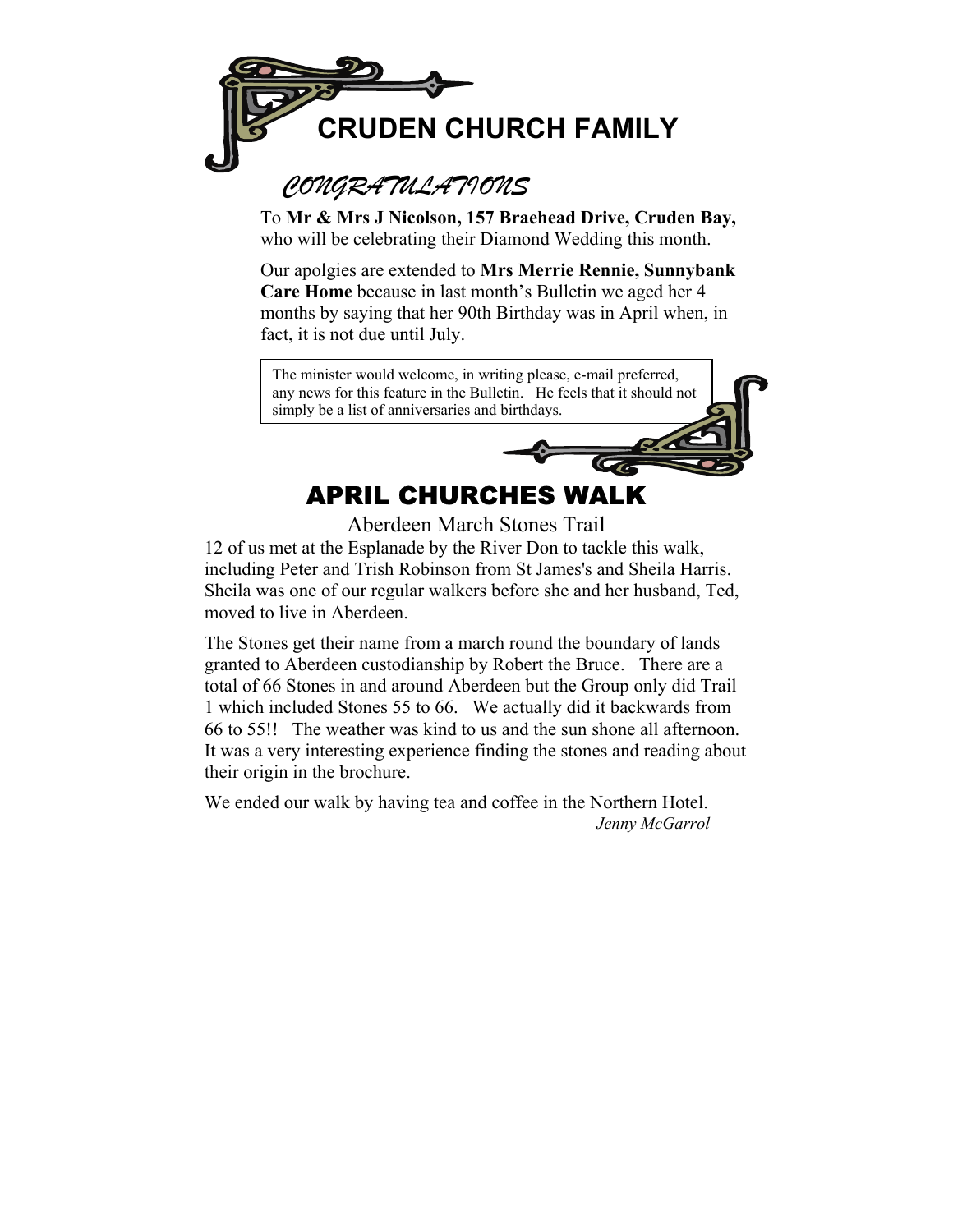

### *CONGRATULATIONS*

To **Mr & Mrs J Nicolson, 157 Braehead Drive, Cruden Bay,**  who will be celebrating their Diamond Wedding this month.

Our apolgies are extended to **Mrs Merrie Rennie, Sunnybank Care Home** because in last month's Bulletin we aged her 4 months by saying that her 90th Birthday was in April when, in fact, it is not due until July.

The minister would welcome, in writing please, e-mail preferred, any news for this feature in the Bulletin. He feels that it should not simply be a list of anniversaries and birthdays.

## APRIL CHURCHES WALK

Aberdeen March Stones Trail

12 of us met at the Esplanade by the River Don to tackle this walk, including Peter and Trish Robinson from St James's and Sheila Harris. Sheila was one of our regular walkers before she and her husband, Ted, moved to live in Aberdeen.

The Stones get their name from a march round the boundary of lands granted to Aberdeen custodianship by Robert the Bruce. There are a total of 66 Stones in and around Aberdeen but the Group only did Trail 1 which included Stones 55 to 66. We actually did it backwards from 66 to 55!! The weather was kind to us and the sun shone all afternoon. It was a very interesting experience finding the stones and reading about their origin in the brochure.

We ended our walk by having tea and coffee in the Northern Hotel. *Jenny McGarrol*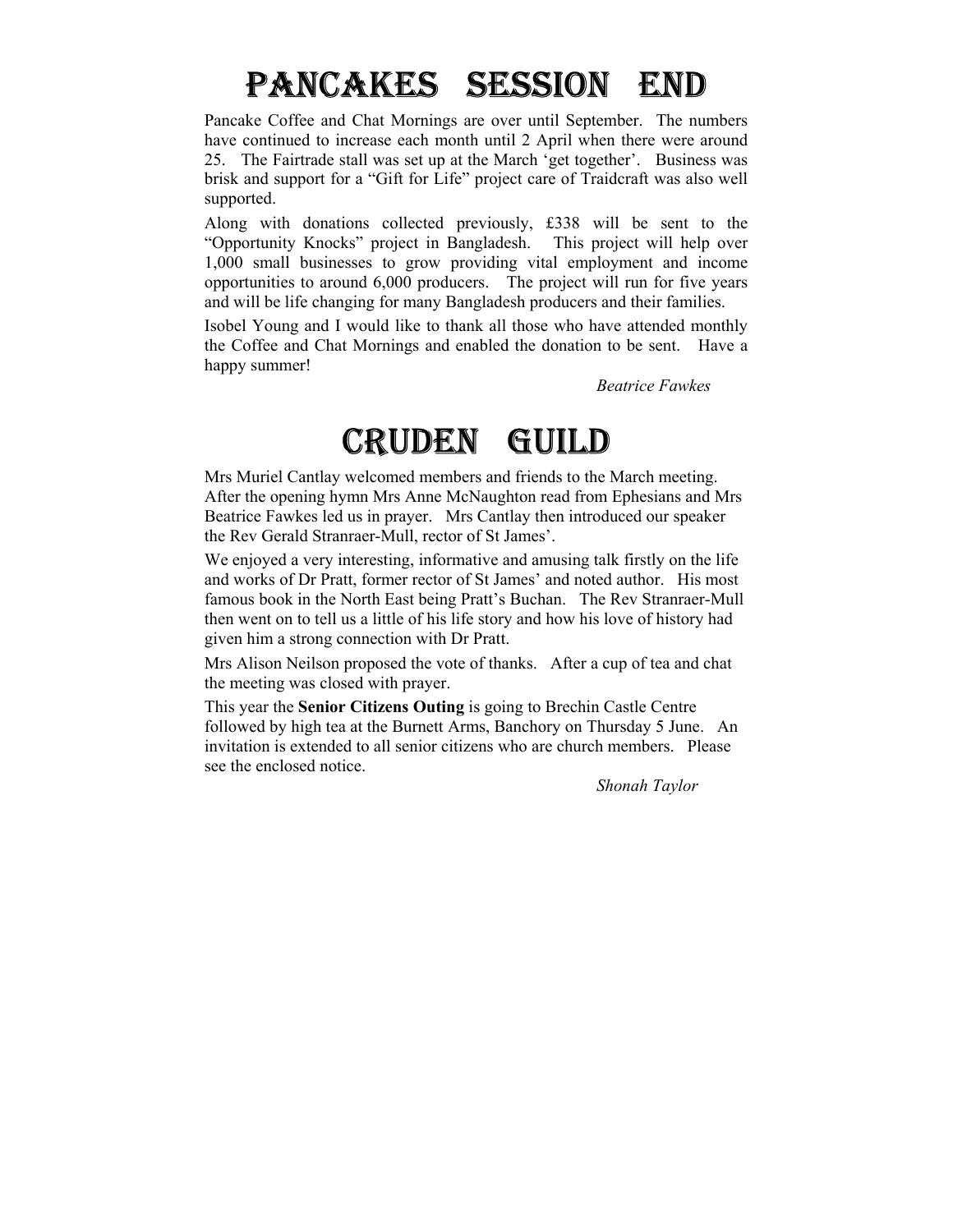# PANCAKES SESSION END

Pancake Coffee and Chat Mornings are over until September. The numbers have continued to increase each month until 2 April when there were around 25. The Fairtrade stall was set up at the March 'get together'. Business was brisk and support for a "Gift for Life" project care of Traidcraft was also well supported.

Along with donations collected previously, £338 will be sent to the "Opportunity Knocks" project in Bangladesh. This project will help over 1,000 small businesses to grow providing vital employment and income opportunities to around 6,000 producers. The project will run for five years and will be life changing for many Bangladesh producers and their families.

Isobel Young and I would like to thank all those who have attended monthly the Coffee and Chat Mornings and enabled the donation to be sent. Have a happy summer!

*Beatrice Fawkes* 

# CRUDEN GUILD

Mrs Muriel Cantlay welcomed members and friends to the March meeting. After the opening hymn Mrs Anne McNaughton read from Ephesians and Mrs Beatrice Fawkes led us in prayer. Mrs Cantlay then introduced our speaker the Rev Gerald Stranraer-Mull, rector of St James'.

We enjoyed a very interesting, informative and amusing talk firstly on the life and works of Dr Pratt, former rector of St James' and noted author. His most famous book in the North East being Pratt's Buchan. The Rev Stranraer-Mull then went on to tell us a little of his life story and how his love of history had given him a strong connection with Dr Pratt.

Mrs Alison Neilson proposed the vote of thanks. After a cup of tea and chat the meeting was closed with prayer.

This year the **Senior Citizens Outing** is going to Brechin Castle Centre followed by high tea at the Burnett Arms, Banchory on Thursday 5 June. An invitation is extended to all senior citizens who are church members. Please see the enclosed notice.

*Shonah Taylor*